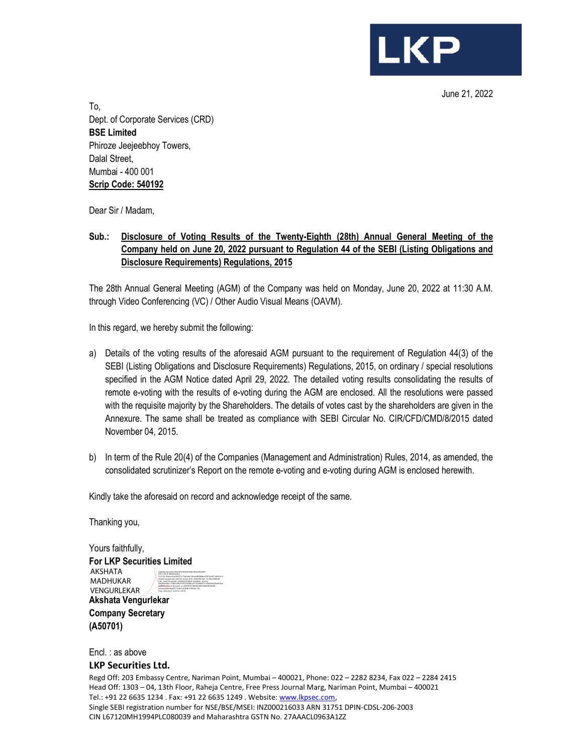June 21, 2022

**LKP** 

To, Dept. of Corporate Services (CRD) **BSE Limited**  Phiroze Jeejeebhoy Towers, Dalal Street, Mumbai - 400 001 **Scrip Code: 540192**

Dear Sir / Madam,

#### **Sub.: Disclosure of Voting Results of the Twenty-Eighth (28th) Annual General Meeting of the Company held on June 20, 2022 pursuant to Regulation 44 of the SEBI (Listing Obligations and Disclosure Requirements) Regulations, 2015**

The 28th Annual General Meeting (AGM) of the Company was held on Monday, June 20, 2022 at 11:30 A.M. through Video Conferencing (VC) / Other Audio Visual Means (OAVM).

In this regard, we hereby submit the following:

- a) Details of the voting results of the aforesaid AGM pursuant to the requirement of Regulation 44(3) of the SEBI (Listing Obligations and Disclosure Requirements) Regulations, 2015, on ordinary / special resolutions specified in the AGM Notice dated April 29, 2022. The detailed voting results consolidating the results of remote e-voting with the results of e-voting during the AGM are enclosed. All the resolutions were passed with the requisite majority by the Shareholders. The details of votes cast by the shareholders are given in the Annexure. The same shall be treated as compliance with SEBI Circular No. CIR/CFD/CMD/8/2015 dated November 04, 2015.
- b) In term of the Rule 20(4) of the Companies (Management and Administration) Rules, 2014, as amended, the consolidated scrutinizer's Report on the remote e-voting and e-voting during AGM is enclosed herewith.

Kindly take the aforesaid on record and acknowledge receipt of the same.

Thanking you,

Yours faithfully, **For LKP Securities Limited Akshata Vengurlekar Company Secretary**  AKSHATA MADHUKAR VENGURLEKAR Digitally signed by AKSHATA MADHUKAR VENGURLEKAR DN: c=IN, st=Maharashtra, 2.5.4.20=36abcc02a249257e17fa02edc15b9cdf80fb4be59347ac8471a82e5a13 62a4c8, postalCode=400104, street=A701, BUILDING NO. 14, MILLENNIUM CHS., SHASTRI NAGAR, GOREGAON WEST, MUMBAI - 400104, serialNumber=3386ccdfec234f7e355b8cec4161ebb9b71c2faa664e53bb930cb b8d6051a2a2, o=Personal, cn=AKSHATA MADHUKAR VENGURLEKAR, pseudonym=0baf971534a31e54f3fb15ff9c4a1129 Date: 2022.06.21 16:41:02 +05'30'

**(A50701)** 

Encl. : as above

#### **LKP Securities Ltd.**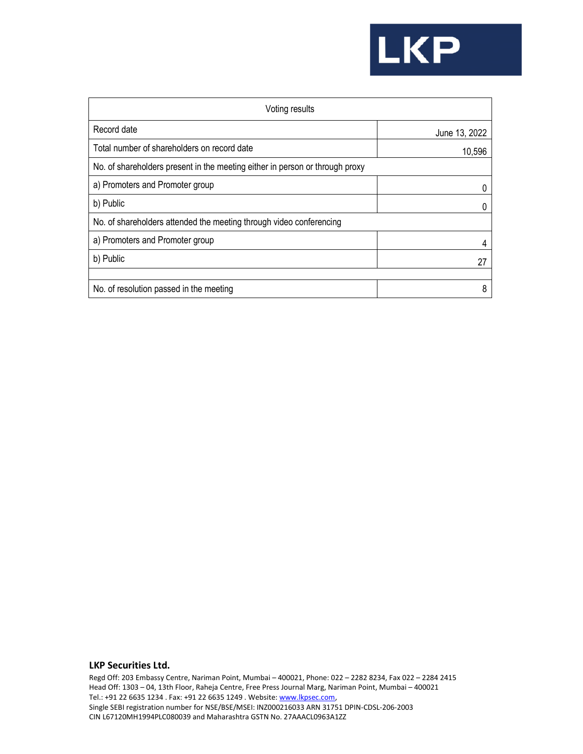# **LKP**

| Voting results                                                               |               |
|------------------------------------------------------------------------------|---------------|
| Record date                                                                  | June 13, 2022 |
| Total number of shareholders on record date                                  | 10,596        |
| No. of shareholders present in the meeting either in person or through proxy |               |
| a) Promoters and Promoter group                                              | 0             |
| b) Public                                                                    |               |
| No. of shareholders attended the meeting through video conferencing          |               |
| a) Promoters and Promoter group                                              | 4             |
| b) Public                                                                    |               |
|                                                                              |               |
| No. of resolution passed in the meeting                                      | 8             |

#### **LKP Securities Ltd.**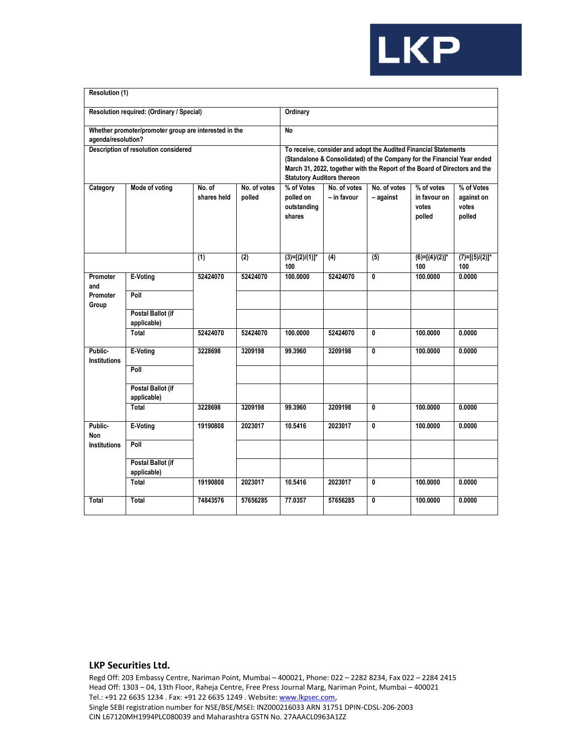

| <b>Resolution (1)</b>          |                                                       |                       |                        |                                                                       |                             |                                                                                                                                                       |                                               |                                             |  |  |
|--------------------------------|-------------------------------------------------------|-----------------------|------------------------|-----------------------------------------------------------------------|-----------------------------|-------------------------------------------------------------------------------------------------------------------------------------------------------|-----------------------------------------------|---------------------------------------------|--|--|
|                                | Resolution required: (Ordinary / Special)             |                       |                        | Ordinary                                                              |                             |                                                                                                                                                       |                                               |                                             |  |  |
| agenda/resolution?             | Whether promoter/promoter group are interested in the |                       |                        | No<br>To receive, consider and adopt the Audited Financial Statements |                             |                                                                                                                                                       |                                               |                                             |  |  |
|                                | Description of resolution considered                  |                       |                        | <b>Statutory Auditors thereon</b>                                     |                             | (Standalone & Consolidated) of the Company for the Financial Year ended<br>March 31, 2022, together with the Report of the Board of Directors and the |                                               |                                             |  |  |
| Category                       | <b>Mode of voting</b>                                 | No. of<br>shares held | No. of votes<br>polled | % of Votes<br>polled on<br>outstanding<br>shares                      | No. of votes<br>- in favour | No. of votes<br>- against                                                                                                                             | % of votes<br>in favour on<br>votes<br>polled | % of Votes<br>against on<br>votes<br>polled |  |  |
|                                |                                                       | (1)                   | (2)                    | $(3)=[(2)/(1)]^*$<br>100                                              | (4)                         | (5)                                                                                                                                                   | $(6)=[(4)/(2)]^*$<br>100                      | $(7)=[(5)/(2)]$ *<br>100                    |  |  |
| Promoter<br>and                | E-Voting                                              | 52424070              | 52424070               | 100.0000                                                              | 52424070                    | 0                                                                                                                                                     | 100.0000                                      | 0.0000                                      |  |  |
| Promoter<br>Group              | Poll                                                  |                       |                        |                                                                       |                             |                                                                                                                                                       |                                               |                                             |  |  |
|                                | Postal Ballot (if<br>applicable)                      |                       |                        |                                                                       |                             |                                                                                                                                                       |                                               |                                             |  |  |
|                                | Total                                                 | 52424070              | 52424070               | 100.0000                                                              | 52424070                    | 0                                                                                                                                                     | 100.0000                                      | 0.0000                                      |  |  |
| Public-<br><b>Institutions</b> | E-Voting                                              | 3228698               | 3209198                | 99.3960                                                               | 3209198                     | 0                                                                                                                                                     | 100.0000                                      | 0.0000                                      |  |  |
|                                | Poll                                                  |                       |                        |                                                                       |                             |                                                                                                                                                       |                                               |                                             |  |  |
|                                | Postal Ballot (if<br>applicable)                      |                       |                        |                                                                       |                             |                                                                                                                                                       |                                               |                                             |  |  |
|                                | <b>Total</b>                                          | 3228698               | 3209198                | 99.3960                                                               | 3209198                     | 0                                                                                                                                                     | 100.0000                                      | 0.0000                                      |  |  |
| Public-<br>Non                 | E-Voting                                              | 19190808              | 2023017                | 10.5416                                                               | 2023017                     | 0                                                                                                                                                     | 100.0000                                      | 0.0000                                      |  |  |
| <b>Institutions</b>            | Poll                                                  |                       |                        |                                                                       |                             |                                                                                                                                                       |                                               |                                             |  |  |
|                                | Postal Ballot (if<br>applicable)                      |                       |                        |                                                                       |                             |                                                                                                                                                       |                                               |                                             |  |  |
|                                | Total                                                 | 19190808              | 2023017                | 10.5416                                                               | 2023017                     | 0                                                                                                                                                     | 100.0000                                      | 0.0000                                      |  |  |
| Total                          | Total                                                 | 74843576              | 57656285               | 77.0357                                                               | 57656285                    | 0                                                                                                                                                     | 100.0000                                      | 0.0000                                      |  |  |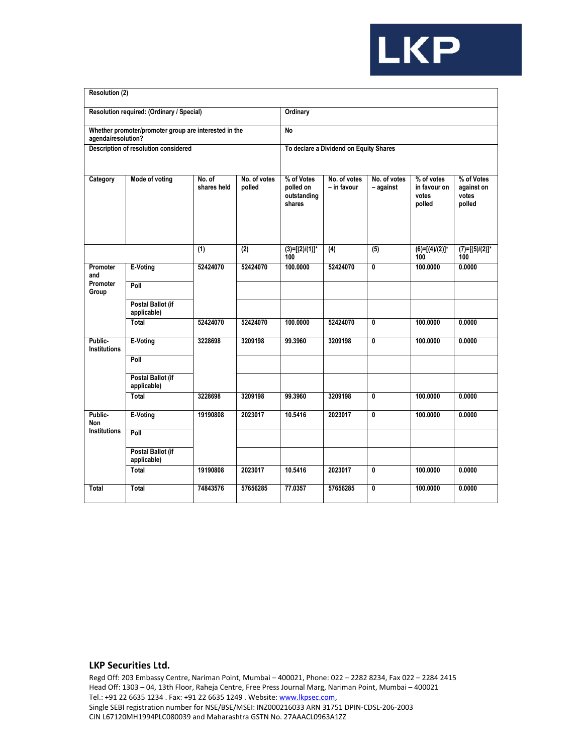

| <b>Resolution (2)</b>          |                                                       |                       |                        |                                                  |                                        |                           |                                               |                                             |
|--------------------------------|-------------------------------------------------------|-----------------------|------------------------|--------------------------------------------------|----------------------------------------|---------------------------|-----------------------------------------------|---------------------------------------------|
|                                | Resolution required: (Ordinary / Special)             |                       |                        | Ordinary                                         |                                        |                           |                                               |                                             |
| agenda/resolution?             | Whether promoter/promoter group are interested in the |                       |                        | <b>No</b>                                        |                                        |                           |                                               |                                             |
|                                | Description of resolution considered                  |                       |                        |                                                  | To declare a Dividend on Equity Shares |                           |                                               |                                             |
| Category                       | Mode of voting                                        | No. of<br>shares held | No. of votes<br>polled | % of Votes<br>polled on<br>outstanding<br>shares | No. of votes<br>- in favour            | No. of votes<br>- against | % of votes<br>in favour on<br>votes<br>polled | % of Votes<br>against on<br>votes<br>polled |
|                                |                                                       | (1)                   | (2)                    | $(3)=[(2)/(1)]^*$<br>100                         | (4)                                    | (5)                       | $(6)=[(4)/(2)]^*$<br>100                      | $(7)=[(5)/(2)]^*$<br>100                    |
| Promoter<br>and                | E-Voting                                              | 52424070              | 52424070               | 100.0000                                         | 52424070                               | 0                         | 100.0000                                      | 0.0000                                      |
| Promoter<br>Group              | Poll                                                  |                       |                        |                                                  |                                        |                           |                                               |                                             |
|                                | Postal Ballot (if<br>applicable)                      |                       |                        |                                                  |                                        |                           |                                               |                                             |
|                                | Total                                                 | 52424070              | 52424070               | 100.0000                                         | 52424070                               | 0                         | 100.0000                                      | 0.0000                                      |
| Public-<br><b>Institutions</b> | E-Voting                                              | 3228698               | 3209198                | 99.3960                                          | 3209198                                | 0                         | 100.0000                                      | 0.0000                                      |
|                                | Poll                                                  |                       |                        |                                                  |                                        |                           |                                               |                                             |
|                                | Postal Ballot (if<br>applicable)                      |                       |                        |                                                  |                                        |                           |                                               |                                             |
|                                | Total                                                 | 3228698               | 3209198                | 99.3960                                          | 3209198                                | 0                         | 100.0000                                      | 0.0000                                      |
| Public-<br><b>Non</b>          | E-Voting                                              | 19190808              | 2023017                | 10.5416                                          | 2023017                                | 0                         | 100.0000                                      | 0.0000                                      |
| <b>Institutions</b>            | Poll                                                  |                       |                        |                                                  |                                        |                           |                                               |                                             |
|                                | Postal Ballot (if<br>applicable)                      |                       |                        |                                                  |                                        |                           |                                               |                                             |
|                                | Total                                                 | 19190808              | 2023017                | 10.5416                                          | 2023017                                | 0                         | 100.0000                                      | 0.0000                                      |
| Total                          | Total                                                 | 74843576              | 57656285               | 77.0357                                          | 57656285                               | 0                         | 100.0000                                      | 0.0000                                      |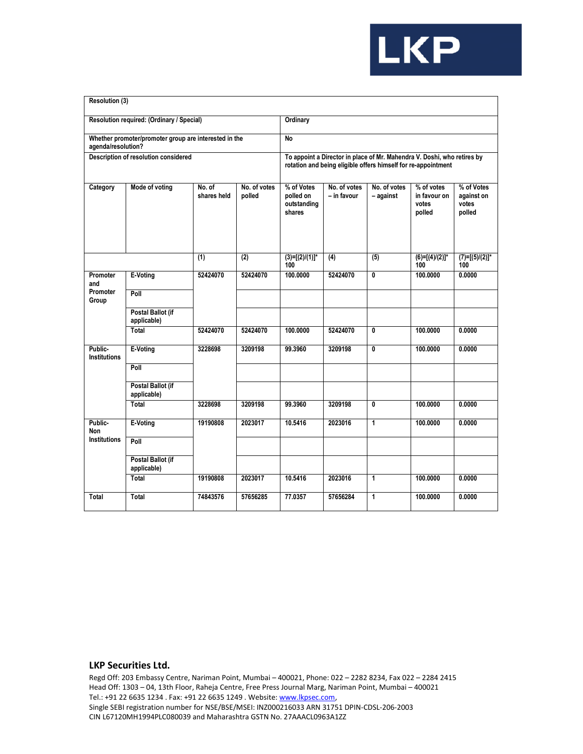

| <b>Resolution (3)</b>          |                                                       |                       |                        |                                                  |                             |                           |                                                                                                                                          |                                             |
|--------------------------------|-------------------------------------------------------|-----------------------|------------------------|--------------------------------------------------|-----------------------------|---------------------------|------------------------------------------------------------------------------------------------------------------------------------------|---------------------------------------------|
|                                | Resolution required: (Ordinary / Special)             |                       |                        | Ordinary                                         |                             |                           |                                                                                                                                          |                                             |
| agenda/resolution?             | Whether promoter/promoter group are interested in the |                       |                        | No                                               |                             |                           |                                                                                                                                          |                                             |
|                                | Description of resolution considered                  |                       |                        |                                                  |                             |                           | To appoint a Director in place of Mr. Mahendra V. Doshi, who retires by<br>rotation and being eligible offers himself for re-appointment |                                             |
| Category                       | Mode of voting                                        | No. of<br>shares held | No. of votes<br>polled | % of Votes<br>polled on<br>outstanding<br>shares | No. of votes<br>– in favour | No. of votes<br>- against | % of votes<br>in favour on<br>votes<br>polled                                                                                            | % of Votes<br>against on<br>votes<br>polled |
|                                |                                                       | (1)                   | (2)                    | $(3)=[(2)/(1)]^*$<br>100                         | (4)                         | (5)                       | $(6)=[(4)/(2)]^*$<br>100                                                                                                                 | $(7)=[(5)/(2)]^*$<br>100                    |
| Promoter<br>and                | E-Voting                                              | 52424070              | 52424070               | 100.0000                                         | 52424070                    | 0                         | 100.0000                                                                                                                                 | 0.0000                                      |
| Promoter<br>Group              | Poll                                                  |                       |                        |                                                  |                             |                           |                                                                                                                                          |                                             |
|                                | Postal Ballot (if<br>applicable)                      |                       |                        |                                                  |                             |                           |                                                                                                                                          |                                             |
|                                | Total                                                 | 52424070              | 52424070               | 100.0000                                         | 52424070                    | 0                         | 100.0000                                                                                                                                 | 0.0000                                      |
| Public-<br><b>Institutions</b> | E-Voting                                              | 3228698               | 3209198                | 99.3960                                          | 3209198                     | 0                         | 100,0000                                                                                                                                 | 0.0000                                      |
|                                | Poll                                                  |                       |                        |                                                  |                             |                           |                                                                                                                                          |                                             |
|                                | Postal Ballot (if<br>applicable)                      |                       |                        |                                                  |                             |                           |                                                                                                                                          |                                             |
|                                | Total                                                 | 3228698               | 3209198                | 99.3960                                          | 3209198                     | 0                         | 100,0000                                                                                                                                 | 0.0000                                      |
| Public-<br>Non                 | E-Voting                                              | 19190808              | 2023017                | 10.5416                                          | 2023016                     | $\mathbf{1}$              | 100.0000                                                                                                                                 | 0.0000                                      |
| <b>Institutions</b>            | Poll                                                  |                       |                        |                                                  |                             |                           |                                                                                                                                          |                                             |
|                                | Postal Ballot (if<br>applicable)                      |                       |                        |                                                  |                             |                           |                                                                                                                                          |                                             |
|                                | Total                                                 | 19190808              | 2023017                | 10.5416                                          | 2023016                     | 1                         | 100.0000                                                                                                                                 | 0.0000                                      |
| Total                          | Total                                                 | 74843576              | 57656285               | 77.0357                                          | 57656284                    | 1                         | 100.0000                                                                                                                                 | 0.0000                                      |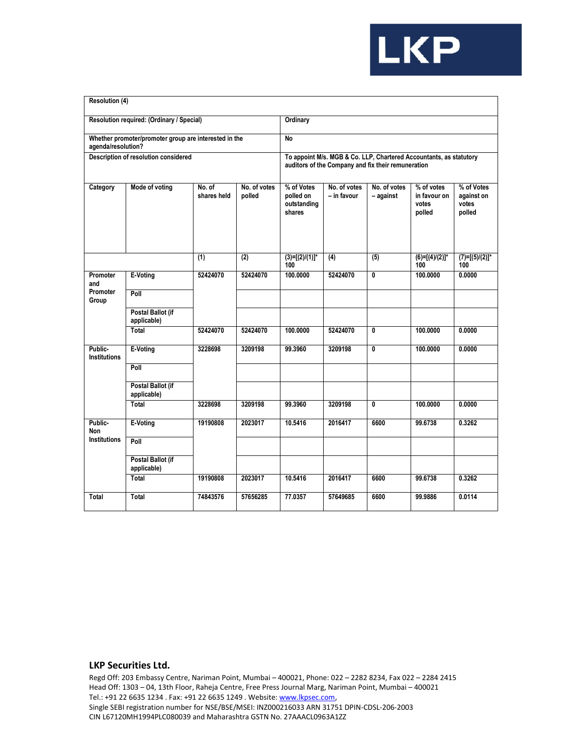

| <b>Resolution (4)</b>          |                                                       |                       |                        |                                                  |                             |                                                    |                                                                    |                                             |
|--------------------------------|-------------------------------------------------------|-----------------------|------------------------|--------------------------------------------------|-----------------------------|----------------------------------------------------|--------------------------------------------------------------------|---------------------------------------------|
|                                | Resolution required: (Ordinary / Special)             |                       |                        | Ordinary                                         |                             |                                                    |                                                                    |                                             |
| agenda/resolution?             | Whether promoter/promoter group are interested in the |                       |                        | <b>No</b>                                        |                             |                                                    |                                                                    |                                             |
|                                | Description of resolution considered                  |                       |                        |                                                  |                             | auditors of the Company and fix their remuneration | To appoint M/s. MGB & Co. LLP, Chartered Accountants, as statutory |                                             |
| Category                       | Mode of voting                                        | No. of<br>shares held | No. of votes<br>polled | % of Votes<br>polled on<br>outstanding<br>shares | No. of votes<br>- in favour | No. of votes<br>- against                          | % of votes<br>in favour on<br>votes<br>polled                      | % of Votes<br>against on<br>votes<br>polled |
|                                |                                                       | (1)                   | (2)                    | $(3)=[(2)/(1)]^*$<br>100                         | (4)                         | (5)                                                | $(6)=[(4)/(2)]^*$<br>100                                           | $(7) = [(5)/(2)]^*$<br>100                  |
| Promoter<br>and                | E-Voting                                              | 52424070              | 52424070               | 100.0000                                         | 52424070                    | 0                                                  | 100.0000                                                           | 0.0000                                      |
| Promoter<br>Group              | Poll                                                  |                       |                        |                                                  |                             |                                                    |                                                                    |                                             |
|                                | Postal Ballot (if<br>applicable)                      |                       |                        |                                                  |                             |                                                    |                                                                    |                                             |
|                                | Total                                                 | 52424070              | 52424070               | 100.0000                                         | 52424070                    | $\overline{\mathbf{0}}$                            | 100.0000                                                           | 0.0000                                      |
| Public-<br><b>Institutions</b> | E-Voting                                              | 3228698               | 3209198                | 99.3960                                          | 3209198                     | $\mathbf{0}$                                       | 100.0000                                                           | 0.0000                                      |
|                                | Poll                                                  |                       |                        |                                                  |                             |                                                    |                                                                    |                                             |
|                                | Postal Ballot (if<br>applicable)                      |                       |                        |                                                  |                             |                                                    |                                                                    |                                             |
|                                | Total                                                 | 3228698               | 3209198                | 99.3960                                          | 3209198                     | $\mathbf{0}$                                       | 100.0000                                                           | 0.0000                                      |
| Public-<br><b>Non</b>          | E-Voting                                              | 19190808              | 2023017                | 10.5416                                          | 2016417                     | 6600                                               | 99.6738                                                            | 0.3262                                      |
| <b>Institutions</b>            | Poll                                                  |                       |                        |                                                  |                             |                                                    |                                                                    |                                             |
|                                | Postal Ballot (if<br>applicable)                      |                       |                        |                                                  |                             |                                                    |                                                                    |                                             |
|                                | Total                                                 | 19190808              | 2023017                | 10.5416                                          | 2016417                     | 6600                                               | 99.6738                                                            | 0.3262                                      |
| Total                          | Total                                                 | 74843576              | 57656285               | 77.0357                                          | 57649685                    | 6600                                               | 99.9886                                                            | 0.0114                                      |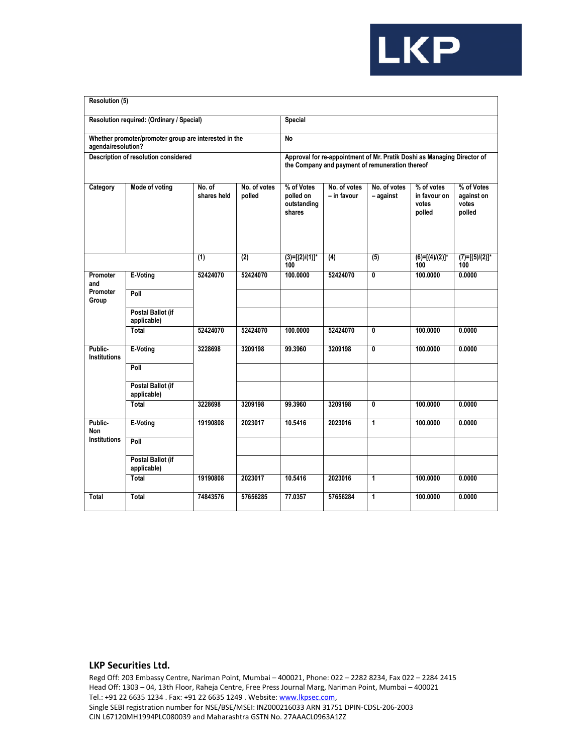

| <b>Resolution (5)</b>          |                                                       |                       |                        |                                                  |                             |                                                 |                                                                         |                                             |
|--------------------------------|-------------------------------------------------------|-----------------------|------------------------|--------------------------------------------------|-----------------------------|-------------------------------------------------|-------------------------------------------------------------------------|---------------------------------------------|
|                                | Resolution required: (Ordinary / Special)             |                       |                        | <b>Special</b>                                   |                             |                                                 |                                                                         |                                             |
| agenda/resolution?             | Whether promoter/promoter group are interested in the |                       |                        | No                                               |                             |                                                 |                                                                         |                                             |
|                                | Description of resolution considered                  |                       |                        |                                                  |                             | the Company and payment of remuneration thereof | Approval for re-appointment of Mr. Pratik Doshi as Managing Director of |                                             |
| Category                       | Mode of voting                                        | No. of<br>shares held | No. of votes<br>polled | % of Votes<br>polled on<br>outstanding<br>shares | No. of votes<br>- in favour | No. of votes<br>- against                       | % of votes<br>in favour on<br>votes<br>polled                           | % of Votes<br>against on<br>votes<br>polled |
|                                |                                                       | (1)                   | (2)                    | $(3)=[(2)/(1)]^*$<br>100                         | (4)                         | (5)                                             | $(6)=[(4)/(2)]^*$<br>100                                                | $(7)=[(5)/(2)]^*$<br>100                    |
| Promoter<br>and                | E-Voting                                              | 52424070              | 52424070               | 100.0000                                         | 52424070                    | 0                                               | 100.0000                                                                | 0.0000                                      |
| Promoter<br>Group              | Poll                                                  |                       |                        |                                                  |                             |                                                 |                                                                         |                                             |
|                                | Postal Ballot (if<br>applicable)                      |                       |                        |                                                  |                             |                                                 |                                                                         |                                             |
|                                | Total                                                 | 52424070              | 52424070               | 100.0000                                         | 52424070                    | 0                                               | 100.0000                                                                | 0.0000                                      |
| Public-<br><b>Institutions</b> | E-Voting                                              | 3228698               | 3209198                | 99.3960                                          | 3209198                     | $\mathbf{0}$                                    | 100.0000                                                                | 0.0000                                      |
|                                | Poll                                                  |                       |                        |                                                  |                             |                                                 |                                                                         |                                             |
|                                | Postal Ballot (if<br>applicable)                      |                       |                        |                                                  |                             |                                                 |                                                                         |                                             |
|                                | Total                                                 | 3228698               | 3209198                | 99.3960                                          | 3209198                     | 0                                               | 100,0000                                                                | 0.0000                                      |
| Public-<br><b>Non</b>          | E-Voting                                              | 19190808              | 2023017                | 10.5416                                          | 2023016                     | 1                                               | 100.0000                                                                | 0.0000                                      |
| <b>Institutions</b>            | Poll                                                  |                       |                        |                                                  |                             |                                                 |                                                                         |                                             |
|                                | Postal Ballot (if<br>applicable)                      |                       |                        |                                                  |                             |                                                 |                                                                         |                                             |
|                                | Total                                                 | 19190808              | 2023017                | 10.5416                                          | 2023016                     | 1                                               | 100.0000                                                                | 0.0000                                      |
| Total                          | Total                                                 | 74843576              | 57656285               | 77.0357                                          | 57656284                    | 1                                               | 100.0000                                                                | 0.0000                                      |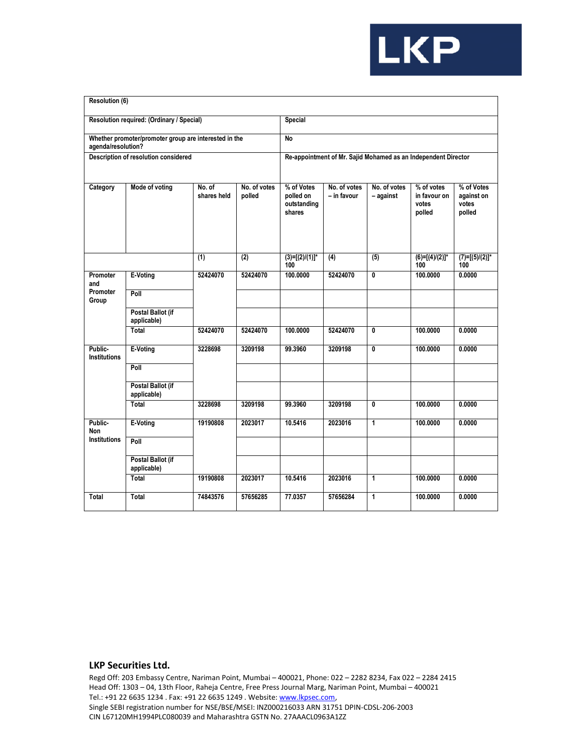

| <b>Resolution (6)</b>          |                                                       |                       |                        |                                                  |                             |                           |                                                                |                                             |
|--------------------------------|-------------------------------------------------------|-----------------------|------------------------|--------------------------------------------------|-----------------------------|---------------------------|----------------------------------------------------------------|---------------------------------------------|
|                                | Resolution required: (Ordinary / Special)             |                       |                        | Special                                          |                             |                           |                                                                |                                             |
| agenda/resolution?             | Whether promoter/promoter group are interested in the |                       |                        | <b>No</b>                                        |                             |                           |                                                                |                                             |
|                                | Description of resolution considered                  |                       |                        |                                                  |                             |                           | Re-appointment of Mr. Sajid Mohamed as an Independent Director |                                             |
| Category                       | Mode of voting                                        | No. of<br>shares held | No. of votes<br>polled | % of Votes<br>polled on<br>outstanding<br>shares | No. of votes<br>- in favour | No. of votes<br>- against | % of votes<br>in favour on<br>votes<br>polled                  | % of Votes<br>against on<br>votes<br>polled |
|                                |                                                       | (1)                   | (2)                    | $(3)=[(2)/(1)]^*$<br>100                         | (4)                         | (5)                       | $(6)=[(4)/(2)]^*$<br>100                                       | $(7)=[(5)/(2)]$ *<br>100                    |
| Promoter<br>and                | E-Voting                                              | 52424070              | 52424070               | 100.0000                                         | 52424070                    | 0                         | 100.0000                                                       | 0.0000                                      |
| Promoter<br>Group              | Poll                                                  |                       |                        |                                                  |                             |                           |                                                                |                                             |
|                                | Postal Ballot (if<br>applicable)                      |                       |                        |                                                  |                             |                           |                                                                |                                             |
|                                | Total                                                 | 52424070              | 52424070               | 100.0000                                         | 52424070                    | 0                         | 100.0000                                                       | 0.0000                                      |
| Public-<br><b>Institutions</b> | E-Voting                                              | 3228698               | 3209198                | 99.3960                                          | 3209198                     | 0                         | 100.0000                                                       | 0.0000                                      |
|                                | Poll                                                  |                       |                        |                                                  |                             |                           |                                                                |                                             |
|                                | Postal Ballot (if<br>applicable)                      |                       |                        |                                                  |                             |                           |                                                                |                                             |
|                                | Total                                                 | 3228698               | 3209198                | 99,3960                                          | 3209198                     | 0                         | 100.0000                                                       | 0.0000                                      |
| Public-<br><b>Non</b>          | <b>E-Voting</b>                                       | 19190808              | 2023017                | 10.5416                                          | 2023016                     | $\mathbf{1}$              | 100.0000                                                       | 0.0000                                      |
| <b>Institutions</b>            | Poll                                                  |                       |                        |                                                  |                             |                           |                                                                |                                             |
|                                | Postal Ballot (if<br>applicable)                      |                       |                        |                                                  |                             |                           |                                                                |                                             |
|                                | Total                                                 | 19190808              | 2023017                | 10.5416                                          | 2023016                     | 1                         | 100.0000                                                       | 0.0000                                      |
| Total                          | Total                                                 | 74843576              | 57656285               | 77.0357                                          | 57656284                    | $\mathbf{1}$              | 100.0000                                                       | 0.0000                                      |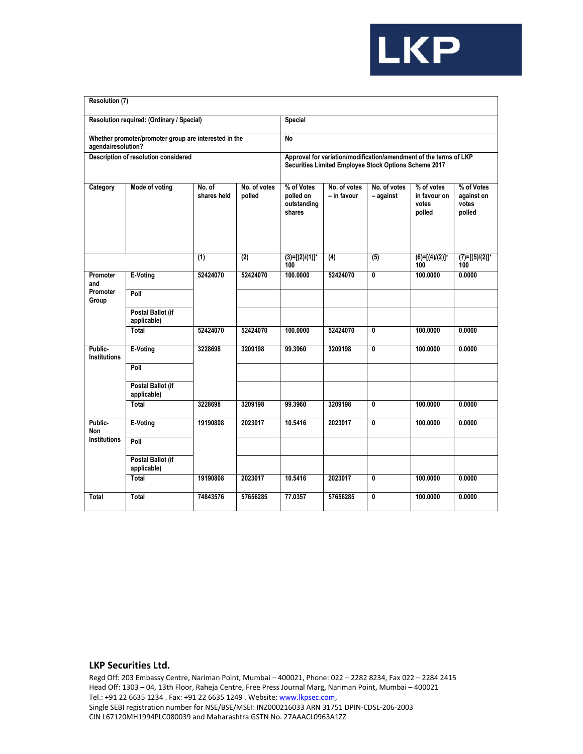

| <b>Resolution (7)</b>          |                                                       |                       |                        |                                                  |                             |                                                       |                                                                   |                                             |
|--------------------------------|-------------------------------------------------------|-----------------------|------------------------|--------------------------------------------------|-----------------------------|-------------------------------------------------------|-------------------------------------------------------------------|---------------------------------------------|
|                                | Resolution required: (Ordinary / Special)             |                       |                        | Special                                          |                             |                                                       |                                                                   |                                             |
| agenda/resolution?             | Whether promoter/promoter group are interested in the |                       |                        | <b>No</b>                                        |                             |                                                       |                                                                   |                                             |
|                                | Description of resolution considered                  |                       |                        |                                                  |                             | Securities Limited Employee Stock Options Scheme 2017 | Approval for variation/modification/amendment of the terms of LKP |                                             |
| Category                       | Mode of voting                                        | No. of<br>shares held | No. of votes<br>polled | % of Votes<br>polled on<br>outstanding<br>shares | No. of votes<br>– in favour | No. of votes<br>- against                             | % of votes<br>in favour on<br>votes<br>polled                     | % of Votes<br>against on<br>votes<br>polled |
|                                |                                                       | (1)                   | (2)                    | $(3)=[(2)/(1)]^*$<br>100                         | (4)                         | (5)                                                   | $(6) = [(4)/(2)]^*$<br>100                                        | $(7)=[(5)/(2)]^*$<br>100                    |
| Promoter<br>and                | E-Voting                                              | 52424070              | 52424070               | 100.0000                                         | 52424070                    | 0                                                     | 100.0000                                                          | 0.0000                                      |
| Promoter<br>Group              | Poll                                                  |                       |                        |                                                  |                             |                                                       |                                                                   |                                             |
|                                | Postal Ballot (if<br>applicable)                      |                       |                        |                                                  |                             |                                                       |                                                                   |                                             |
|                                | Total                                                 | 52424070              | 52424070               | 100.0000                                         | 52424070                    | 0                                                     | 100.0000                                                          | 0.0000                                      |
| Public-<br><b>Institutions</b> | E-Voting                                              | 3228698               | 3209198                | 99.3960                                          | 3209198                     | 0                                                     | 100.0000                                                          | 0.0000                                      |
|                                | Poll                                                  |                       |                        |                                                  |                             |                                                       |                                                                   |                                             |
|                                | Postal Ballot (if<br>applicable)                      |                       |                        |                                                  |                             |                                                       |                                                                   |                                             |
|                                | Total                                                 | 3228698               | 3209198                | 99.3960                                          | 3209198                     | 0                                                     | 100.0000                                                          | 0.0000                                      |
| Public-<br>Non                 | E-Voting                                              | 19190808              | 2023017                | 10.5416                                          | 2023017                     | 0                                                     | 100.0000                                                          | 0.0000                                      |
| <b>Institutions</b>            | Poll                                                  |                       |                        |                                                  |                             |                                                       |                                                                   |                                             |
|                                | Postal Ballot (if<br>applicable)                      |                       |                        |                                                  |                             |                                                       |                                                                   |                                             |
|                                | Total                                                 | 19190808              | 2023017                | 10.5416                                          | 2023017                     | 0                                                     | 100.0000                                                          | 0.0000                                      |
| Total                          | Total                                                 | 74843576              | 57656285               | 77.0357                                          | 57656285                    | 0                                                     | 100.0000                                                          | 0.0000                                      |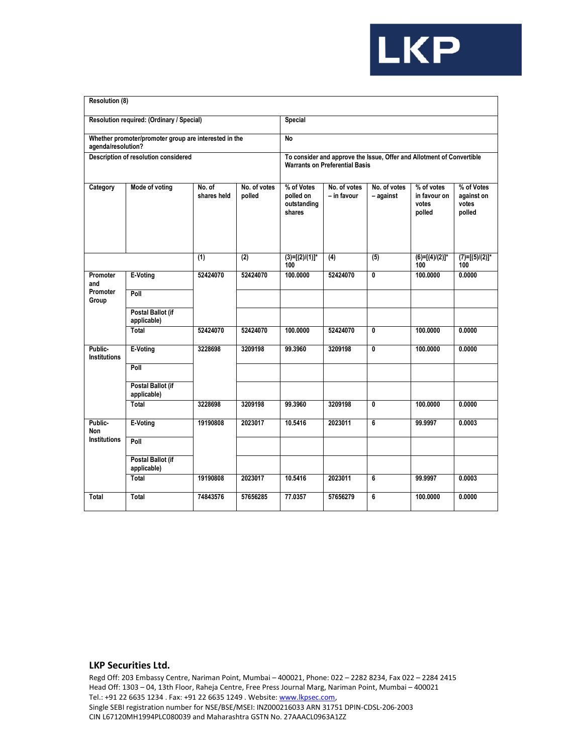

| <b>Resolution (8)</b>          |                                                       |                       |                        |                                                                                                                |                             |                           |                                               |                                             |  |  |
|--------------------------------|-------------------------------------------------------|-----------------------|------------------------|----------------------------------------------------------------------------------------------------------------|-----------------------------|---------------------------|-----------------------------------------------|---------------------------------------------|--|--|
|                                | Resolution required: (Ordinary / Special)             |                       |                        | <b>Special</b>                                                                                                 |                             |                           |                                               |                                             |  |  |
| agenda/resolution?             | Whether promoter/promoter group are interested in the |                       |                        | No                                                                                                             |                             |                           |                                               |                                             |  |  |
|                                | Description of resolution considered                  |                       |                        | To consider and approve the Issue, Offer and Allotment of Convertible<br><b>Warrants on Preferential Basis</b> |                             |                           |                                               |                                             |  |  |
| Category                       | Mode of voting                                        | No. of<br>shares held | No. of votes<br>polled | % of Votes<br>polled on<br>outstanding<br>shares                                                               | No. of votes<br>- in favour | No. of votes<br>- against | % of votes<br>in favour on<br>votes<br>polled | % of Votes<br>against on<br>votes<br>polled |  |  |
|                                |                                                       | (1)                   | (2)                    | $(3)=[(2)/(1)]^*$<br>100                                                                                       | (4)                         | (5)                       | $(6)=[(4)/(2)]^*$<br>100                      | $(7)=[(5)/(2)]^*$<br>100                    |  |  |
| Promoter<br>and                | E-Voting                                              | 52424070              | 52424070               | 100.0000                                                                                                       | 52424070                    | 0                         | 100.0000                                      | 0.0000                                      |  |  |
| Promoter<br>Group              | Poll                                                  |                       |                        |                                                                                                                |                             |                           |                                               |                                             |  |  |
|                                | Postal Ballot (if<br>applicable)                      |                       |                        |                                                                                                                |                             |                           |                                               |                                             |  |  |
|                                | Total                                                 | 52424070              | 52424070               | 100.0000                                                                                                       | 52424070                    | $\overline{\mathbf{0}}$   | 100.0000                                      | 0.0000                                      |  |  |
| Public-<br><b>Institutions</b> | E-Voting                                              | 3228698               | 3209198                | 99.3960                                                                                                        | 3209198                     | 0                         | 100,0000                                      | 0.0000                                      |  |  |
|                                | Poll                                                  |                       |                        |                                                                                                                |                             |                           |                                               |                                             |  |  |
|                                | Postal Ballot (if<br>applicable)                      |                       |                        |                                                                                                                |                             |                           |                                               |                                             |  |  |
|                                | Total                                                 | 3228698               | 3209198                | 99,3960                                                                                                        | 3209198                     | $\mathbf{0}$              | 100,0000                                      | 0.0000                                      |  |  |
| Public-<br><b>Non</b>          | E-Voting                                              | 19190808              | 2023017                | 10.5416                                                                                                        | 2023011                     | 6                         | 99.9997                                       | 0.0003                                      |  |  |
| <b>Institutions</b>            | Poll                                                  |                       |                        |                                                                                                                |                             |                           |                                               |                                             |  |  |
|                                | Postal Ballot (if<br>applicable)                      |                       |                        |                                                                                                                |                             |                           |                                               |                                             |  |  |
|                                | Total                                                 | 19190808              | 2023017                | 10.5416                                                                                                        | 2023011                     | 6                         | 99.9997                                       | 0.0003                                      |  |  |
| Total                          | Total                                                 | 74843576              | 57656285               | 77.0357                                                                                                        | 57656279                    | 6                         | 100.0000                                      | 0.0000                                      |  |  |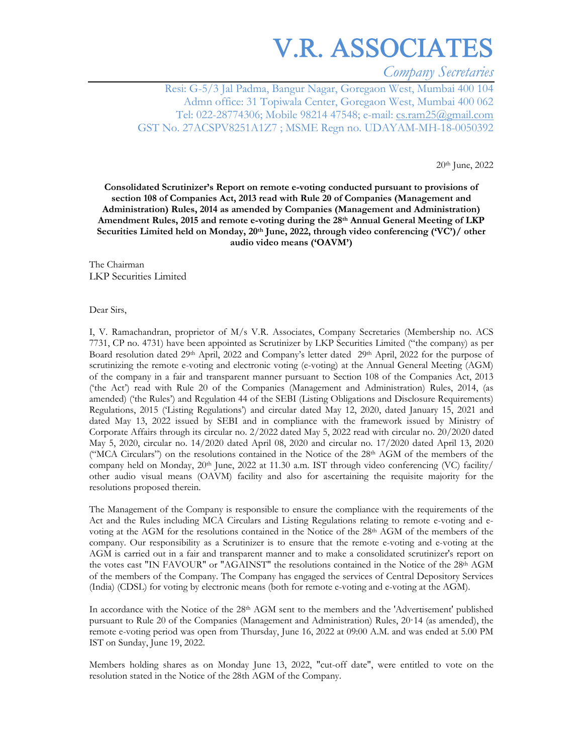*Company Secretaries* 

Resi: G-5/3 Jal Padma, Bangur Nagar, Goregaon West, Mumbai 400 104 Admn office: 31 Topiwala Center, Goregaon West, Mumbai 400 062 Tel: 022-28774306; Mobile 98214 47548; e-mail: cs.ram25@gmail.com GST No. 27ACSPV8251A1Z7 ; MSME Regn no. UDAYAM-MH-18-0050392

20th June, 2022

**Consolidated Scrutinizer's Report on remote e-voting conducted pursuant to provisions of section 108 of Companies Act, 2013 read with Rule 20 of Companies (Management and Administration) Rules, 2014 as amended by Companies (Management and Administration) Amendment Rules, 2015 and remote e-voting during the 28th Annual General Meeting of LKP**  Securities Limited held on Monday, 20<sup>th</sup> June, 2022, through video conferencing ('VC')/ other **audio video means ('OAVM')** 

The Chairman LKP Securities Limited

Dear Sirs,

I, V. Ramachandran, proprietor of M/s V.R. Associates, Company Secretaries (Membership no. ACS 7731, CP no. 4731) have been appointed as Scrutinizer by LKP Securities Limited ("the company) as per Board resolution dated 29th April, 2022 and Company's letter dated 29th April, 2022 for the purpose of scrutinizing the remote e-voting and electronic voting (e-voting) at the Annual General Meeting (AGM) of the company in a fair and transparent manner pursuant to Section 108 of the Companies Act, 2013 ('the Act') read with Rule 20 of the Companies (Management and Administration) Rules, 2014, (as amended) ('the Rules') and Regulation 44 of the SEBI (Listing Obligations and Disclosure Requirements) Regulations, 2015 ('Listing Regulations') and circular dated May 12, 2020, dated January 15, 2021 and dated May 13, 2022 issued by SEBI and in compliance with the framework issued by Ministry of Corporate Affairs through its circular no. 2/2022 dated May 5, 2022 read with circular no. 20/2020 dated May 5, 2020, circular no. 14/2020 dated April 08, 2020 and circular no. 17/2020 dated April 13, 2020 ("MCA Circulars") on the resolutions contained in the Notice of the 28th AGM of the members of the company held on Monday, 20<sup>th</sup> June, 2022 at 11.30 a.m. IST through video conferencing (VC) facility/ other audio visual means (OAVM) facility and also for ascertaining the requisite majority for the resolutions proposed therein.

The Management of the Company is responsible to ensure the compliance with the requirements of the Act and the Rules including MCA Circulars and Listing Regulations relating to remote e-voting and evoting at the AGM for the resolutions contained in the Notice of the 28th AGM of the members of the company. Our responsibility as a Scrutinizer is to ensure that the remote e-voting and e-voting at the AGM is carried out in a fair and transparent manner and to make a consolidated scrutinizer's report on the votes cast "IN FAVOUR" or "AGAINST" the resolutions contained in the Notice of the 28<sup>th</sup> AGM of the members of the Company. The Company has engaged the services of Central Depository Services (India) (CDSL) for voting by electronic means (both for remote e-voting and e-voting at the AGM).

In accordance with the Notice of the 28<sup>th</sup> AGM sent to the members and the 'Advertisement' published pursuant to Rule 20 of the Companies (Management and Administration) Rules, 20·14 (as amended), the remote e-voting period was open from Thursday, June 16, 2022 at 09:00 A.M. and was ended at 5.00 PM IST on Sunday, June 19, 2022.

Members holding shares as on Monday June 13, 2022, "cut-off date", were entitled to vote on the resolution stated in the Notice of the 28th AGM of the Company.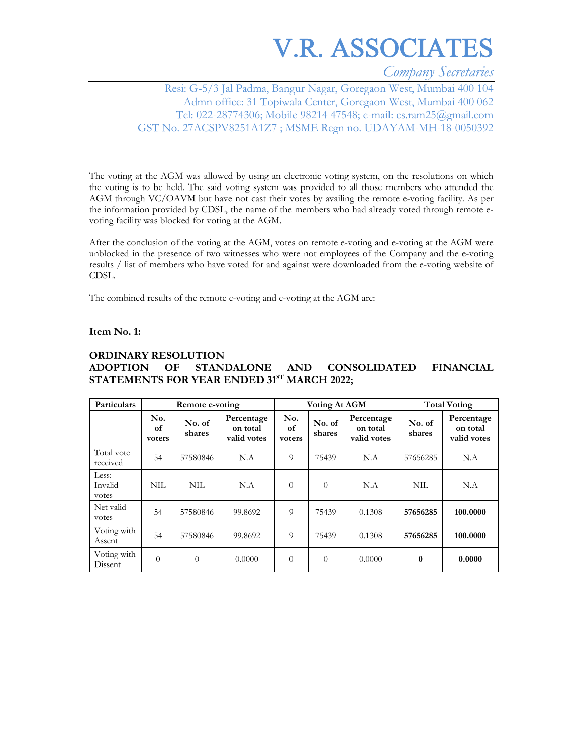*Company Secretaries* 

Resi: G-5/3 Jal Padma, Bangur Nagar, Goregaon West, Mumbai 400 104 Admn office: 31 Topiwala Center, Goregaon West, Mumbai 400 062 Tel: 022-28774306; Mobile 98214 47548; e-mail: cs.ram25@gmail.com GST No. 27ACSPV8251A1Z7 ; MSME Regn no. UDAYAM-MH-18-0050392

The voting at the AGM was allowed by using an electronic voting system, on the resolutions on which the voting is to be held. The said voting system was provided to all those members who attended the AGM through VC/OAVM but have not cast their votes by availing the remote e-voting facility. As per the information provided by CDSL, the name of the members who had already voted through remote evoting facility was blocked for voting at the AGM.

After the conclusion of the voting at the AGM, votes on remote e-voting and e-voting at the AGM were unblocked in the presence of two witnesses who were not employees of the Company and the e-voting results / list of members who have voted for and against were downloaded from the e-voting website of CDSL.

The combined results of the remote e-voting and e-voting at the AGM are:

**Item No. 1:** 

#### **ORDINARY RESOLUTION ADOPTION OF STANDALONE AND CONSOLIDATED FINANCIAL**  STATEMENTS FOR YEAR ENDED 31<sup>ST</sup> MARCH 2022;

| Particulars               |                     | Remote e-voting  |                                       |                     | Voting At AGM    |                                       |                  | <b>Total Voting</b>                   |
|---------------------------|---------------------|------------------|---------------------------------------|---------------------|------------------|---------------------------------------|------------------|---------------------------------------|
|                           | No.<br>οf<br>voters | No. of<br>shares | Percentage<br>on total<br>valid votes | No.<br>of<br>voters | No. of<br>shares | Percentage<br>on total<br>valid votes | No. of<br>shares | Percentage<br>on total<br>valid votes |
| Total vote<br>received    | 54                  | 57580846         | N.A                                   | 9                   | 75439            | N.A                                   | 57656285         | N.A                                   |
| Less:<br>Invalid<br>votes | NIL                 | NIL.             | N.A                                   | $\Omega$            | $\Omega$         | N.A                                   | NIL              | N.A                                   |
| Net valid<br>votes        | 54                  | 57580846         | 99.8692                               | 9                   | 75439            | 0.1308                                | 57656285         | 100.0000                              |
| Voting with<br>Assent     | 54                  | 57580846         | 99.8692                               | 9                   | 75439            | 0.1308                                | 57656285         | 100.0000                              |
| Voting with<br>Dissent    | $\theta$            | $\Omega$         | 0.0000                                | $\Omega$            | $\theta$         | 0.0000                                | $\boldsymbol{0}$ | 0.0000                                |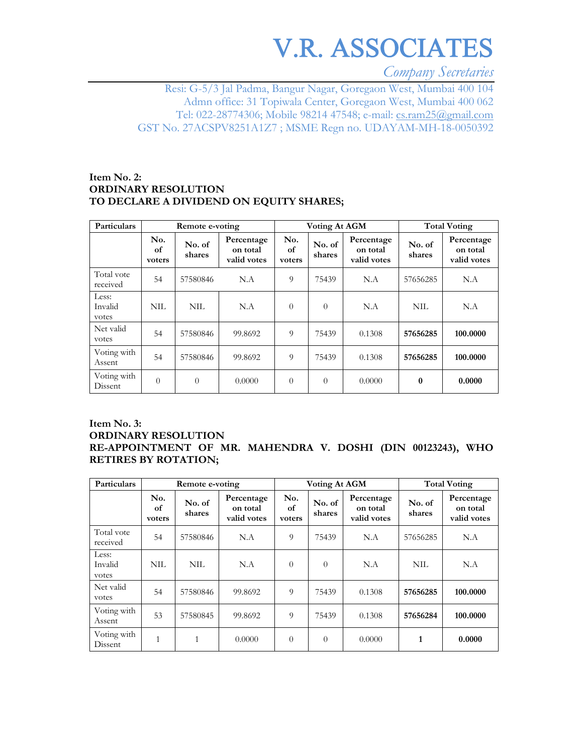*Company Secretaries* 

Resi: G-5/3 Jal Padma, Bangur Nagar, Goregaon West, Mumbai 400 104 Admn office: 31 Topiwala Center, Goregaon West, Mumbai 400 062 Tel: 022-28774306; Mobile 98214 47548; e-mail: cs.ram25@gmail.com GST No. 27ACSPV8251A1Z7 ; MSME Regn no. UDAYAM-MH-18-0050392

#### **Item No. 2: ORDINARY RESOLUTION TO DECLARE A DIVIDEND ON EQUITY SHARES;**

| Particulars               |                     | Remote e-voting  |                                       |                     | <b>Voting At AGM</b> |                                       |                  | <b>Total Voting</b>                   |
|---------------------------|---------------------|------------------|---------------------------------------|---------------------|----------------------|---------------------------------------|------------------|---------------------------------------|
|                           | No.<br>οf<br>voters | No. of<br>shares | Percentage<br>on total<br>valid votes | No.<br>of<br>voters | No. of<br>shares     | Percentage<br>on total<br>valid votes | No. of<br>shares | Percentage<br>on total<br>valid votes |
| Total vote<br>received    | 54                  | 57580846         | N.A                                   | 9                   | 75439                | N.A                                   | 57656285         | N.A                                   |
| Less:<br>Invalid<br>votes | NIL.                | NIL              | N.A                                   | $\Omega$            | $\overline{0}$       | N.A                                   | NIL              | N.A                                   |
| Net valid<br>votes        | 54                  | 57580846         | 99.8692                               | 9                   | 75439                | 0.1308                                | 57656285         | 100.0000                              |
| Voting with<br>Assent     | 54                  | 57580846         | 99.8692                               | $\Omega$            | 75439                | 0.1308                                | 57656285         | 100.0000                              |
| Voting with<br>Dissent    | $\theta$            | $\theta$         | 0.0000                                | $\theta$            | $\theta$             | 0.0000                                | $\bf{0}$         | 0.0000                                |

#### **Item No. 3: ORDINARY RESOLUTION RE-APPOINTMENT OF MR. MAHENDRA V. DOSHI (DIN 00123243), WHO RETIRES BY ROTATION;**

| Particulars               |                     | Remote e-voting  |                                       |                     | Voting At AGM    |                                       |                  | <b>Total Voting</b>                   |
|---------------------------|---------------------|------------------|---------------------------------------|---------------------|------------------|---------------------------------------|------------------|---------------------------------------|
|                           | No.<br>of<br>voters | No. of<br>shares | Percentage<br>on total<br>valid votes | No.<br>οf<br>voters | No. of<br>shares | Percentage<br>on total<br>valid votes | No. of<br>shares | Percentage<br>on total<br>valid votes |
| Total vote<br>received    | 54                  | 57580846         | N.A                                   | 9                   | 75439            | N.A                                   | 57656285         | N.A                                   |
| Less:<br>Invalid<br>votes | NIL                 | NIL              | N.A                                   | $\Omega$            | $\overline{0}$   | N.A                                   | NIL              | N.A                                   |
| Net valid<br>votes        | 54                  | 57580846         | 99.8692                               | 9                   | 75439            | 0.1308                                | 57656285         | 100.0000                              |
| Voting with<br>Assent     | 53                  | 57580845         | 99.8692                               | $\Omega$            | 75439            | 0.1308                                | 57656284         | 100.0000                              |
| Voting with<br>Dissent    | $\mathbf{1}$        | $\mathbf{1}$     | 0.0000                                | $\Omega$            | $\overline{0}$   | 0.0000                                | 1                | 0.0000                                |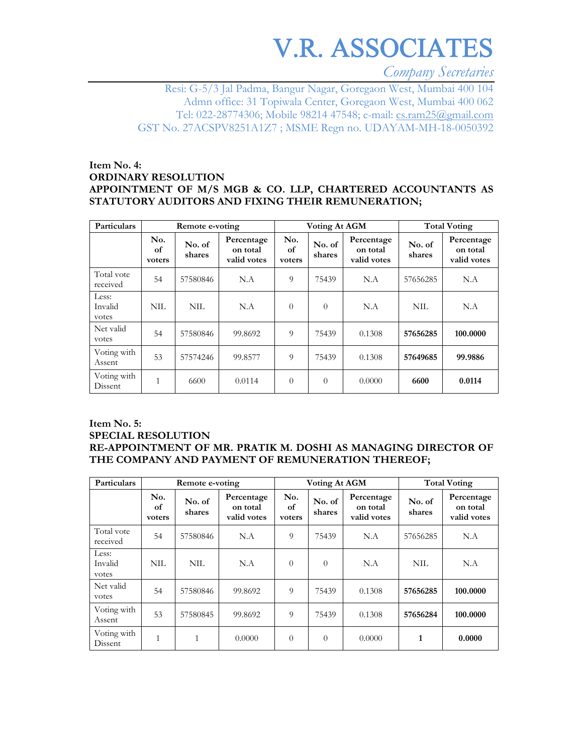*Company Secretaries* 

Resi: G-5/3 Jal Padma, Bangur Nagar, Goregaon West, Mumbai 400 104 Admn office: 31 Topiwala Center, Goregaon West, Mumbai 400 062 Tel: 022-28774306; Mobile 98214 47548; e-mail: cs.ram25@gmail.com GST No. 27ACSPV8251A1Z7 ; MSME Regn no. UDAYAM-MH-18-0050392

#### **Item No. 4: ORDINARY RESOLUTION APPOINTMENT OF M/S MGB & CO. LLP, CHARTERED ACCOUNTANTS AS STATUTORY AUDITORS AND FIXING THEIR REMUNERATION;**

| Particulars               | Remote e-voting     |                  |                                       |                     | Voting At AGM    |                                       | <b>Total Voting</b> |                                       |
|---------------------------|---------------------|------------------|---------------------------------------|---------------------|------------------|---------------------------------------|---------------------|---------------------------------------|
|                           | No.<br>of<br>voters | No. of<br>shares | Percentage<br>on total<br>valid votes | No.<br>of<br>voters | No. of<br>shares | Percentage<br>on total<br>valid votes | No. of<br>shares    | Percentage<br>on total<br>valid votes |
| Total vote<br>received    | 54                  | 57580846         | N.A                                   | 9                   | 75439            | N.A                                   | 57656285            | N.A                                   |
| Less:<br>Invalid<br>votes | <b>NIL</b>          | NIL              | N.A                                   | $\Omega$            | $\theta$         | N.A                                   | NIL                 | N.A                                   |
| Net valid<br>votes        | 54                  | 57580846         | 99.8692                               | 9                   | 75439            | 0.1308                                | 57656285            | 100.0000                              |
| Voting with<br>Assent     | 53                  | 57574246         | 99.8577                               | 9                   | 75439            | 0.1308                                | 57649685            | 99.9886                               |
| Voting with<br>Dissent    | $\mathbf{1}$        | 6600             | 0.0114                                | $\Omega$            | $\theta$         | 0.0000                                | 6600                | 0.0114                                |

#### **Item No. 5: SPECIAL RESOLUTION RE-APPOINTMENT OF MR. PRATIK M. DOSHI AS MANAGING DIRECTOR OF THE COMPANY AND PAYMENT OF REMUNERATION THEREOF;**

| Particulars               | Remote e-voting     |                  |                                       |                     | Voting At AGM    |                                       | <b>Total Voting</b> |                                       |
|---------------------------|---------------------|------------------|---------------------------------------|---------------------|------------------|---------------------------------------|---------------------|---------------------------------------|
|                           | No.<br>οf<br>voters | No. of<br>shares | Percentage<br>on total<br>valid votes | No.<br>οf<br>voters | No. of<br>shares | Percentage<br>on total<br>valid votes | No. of<br>shares    | Percentage<br>on total<br>valid votes |
| Total vote<br>received    | 54                  | 57580846         | N.A                                   | 9                   | 75439            | N.A                                   | 57656285            | N.A                                   |
| Less:<br>Invalid<br>votes | <b>NIL</b>          | NIL              | N.A                                   | $\Omega$            | $\overline{0}$   | N.A                                   | NIL                 | N.A                                   |
| Net valid<br>votes        | 54                  | 57580846         | 99.8692                               | 9                   | 75439            | 0.1308                                | 57656285            | 100.0000                              |
| Voting with<br>Assent     | 53                  | 57580845         | 99.8692                               | 9                   | 75439            | 0.1308                                | 57656284            | 100.0000                              |
| Voting with<br>Dissent    | $\mathbf{1}$        | 1                | 0.0000                                | $\Omega$            | $\theta$         | 0.0000                                | $\mathbf{1}$        | 0.0000                                |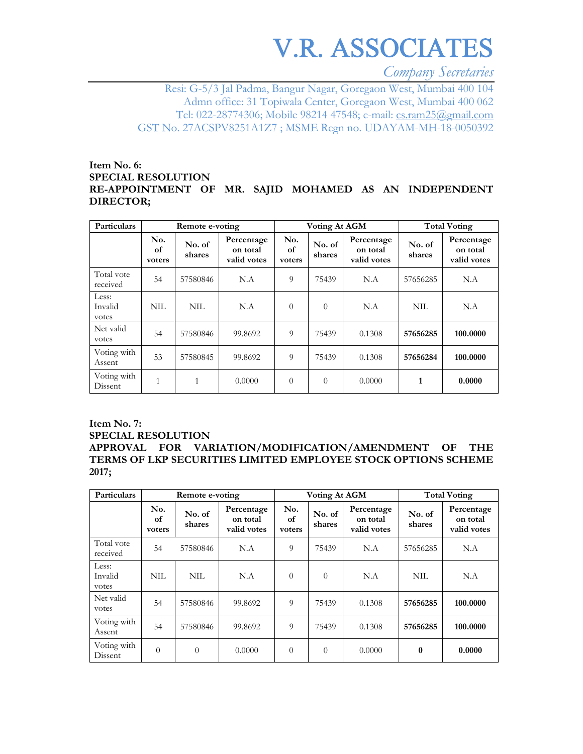*Company Secretaries* 

Resi: G-5/3 Jal Padma, Bangur Nagar, Goregaon West, Mumbai 400 104 Admn office: 31 Topiwala Center, Goregaon West, Mumbai 400 062 Tel: 022-28774306; Mobile 98214 47548; e-mail: cs.ram25@gmail.com GST No. 27ACSPV8251A1Z7 ; MSME Regn no. UDAYAM-MH-18-0050392

#### **Item No. 6: SPECIAL RESOLUTION RE-APPOINTMENT OF MR. SAJID MOHAMED AS AN INDEPENDENT DIRECTOR;**

| Particulars               | Remote e-voting     |                  |                                       |                     | Voting At AGM    |                                       | <b>Total Voting</b> |                                       |
|---------------------------|---------------------|------------------|---------------------------------------|---------------------|------------------|---------------------------------------|---------------------|---------------------------------------|
|                           | No.<br>οf<br>voters | No. of<br>shares | Percentage<br>on total<br>valid votes | No.<br>οf<br>voters | No. of<br>shares | Percentage<br>on total<br>valid votes | No. of<br>shares    | Percentage<br>on total<br>valid votes |
| Total vote<br>received    | 54                  | 57580846         | N.A                                   | 9                   | 75439            | N.A                                   | 57656285            | N.A                                   |
| Less:<br>Invalid<br>votes | <b>NIL</b>          | NIL.             | N.A                                   | $\Omega$            | $\overline{0}$   | N.A                                   | NIL                 | N.A                                   |
| Net valid<br>votes        | 54                  | 57580846         | 99.8692                               | 9                   | 75439            | 0.1308                                | 57656285            | 100.0000                              |
| Voting with<br>Assent     | 53                  | 57580845         | 99.8692                               | 9                   | 75439            | 0.1308                                | 57656284            | 100.0000                              |
| Voting with<br>Dissent    | $\mathbf{1}$        | 1                | 0.0000                                | $\Omega$            | $\theta$         | 0.0000                                | $\mathbf{1}$        | 0.0000                                |

#### **Item No. 7: SPECIAL RESOLUTION APPROVAL FOR VARIATION/MODIFICATION/AMENDMENT OF THE TERMS OF LKP SECURITIES LIMITED EMPLOYEE STOCK OPTIONS SCHEME 2017;**

| Particulars               | Remote e-voting     |                  |                                       |                     | <b>Voting At AGM</b> |                                       | <b>Total Voting</b> |                                       |
|---------------------------|---------------------|------------------|---------------------------------------|---------------------|----------------------|---------------------------------------|---------------------|---------------------------------------|
|                           | No.<br>οf<br>voters | No. of<br>shares | Percentage<br>on total<br>valid votes | No.<br>οf<br>voters | No. of<br>shares     | Percentage<br>on total<br>valid votes | No. of<br>shares    | Percentage<br>on total<br>valid votes |
| Total vote<br>received    | 54                  | 57580846         | N.A                                   | 9                   | 75439                | N.A                                   | 57656285            | N.A                                   |
| Less:<br>Invalid<br>votes | NIL                 | NIL              | N.A                                   | $\Omega$            | $\overline{0}$       | N.A                                   | NIL                 | N.A                                   |
| Net valid<br>votes        | 54                  | 57580846         | 99.8692                               | 9                   | 75439                | 0.1308                                | 57656285            | 100.0000                              |
| Voting with<br>Assent     | 54                  | 57580846         | 99.8692                               | 9                   | 75439                | 0.1308                                | 57656285            | 100.0000                              |
| Voting with<br>Dissent    | $\theta$            | $\Omega$         | 0.0000                                | $\theta$            | $\Omega$             | 0.0000                                | $\boldsymbol{0}$    | 0.0000                                |